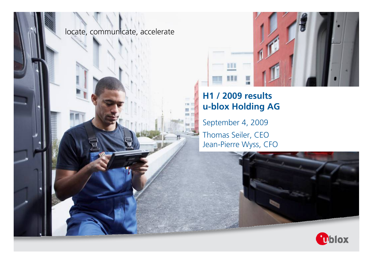



### **H1 / 2009 results u-blox Holding AG**

September 4, 2009 Thomas Seiler, CEO Jean-Pierre Wyss, CFO



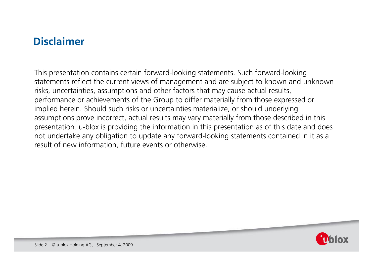### **Disclaimer**

This presentation contains certain forward-looking statements. Such forward-looking statements reflect the current views of management and are subject to known and unknown risks, uncertainties, assumptions and other factors that may cause actual results, performance or achievements of the Group to differ materially from those expressed or implied herein. Should such risks or uncertainties materialize, or should underlying assumptions prove incorrect, actual results may vary materially from those described in this presentation. u-blox is providing the information in this presentation as of this date and does not undertake any obligation to update any forward-looking statements contained in it as <sup>a</sup> result of new information, future events or otherwise.

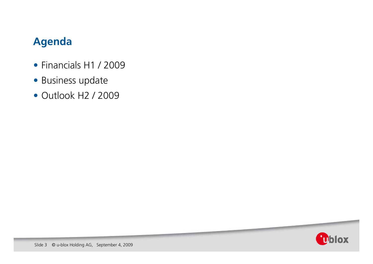### **Agenda**

- Financials H1 / 2009
- Business update
- Outlook H2 / 2009

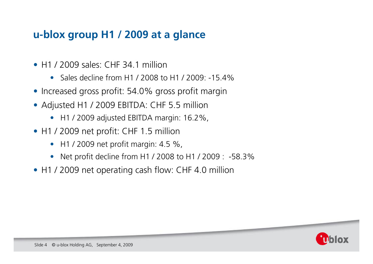### **u-blox group H1 / 2009 at a glance**

- H1 / 2009 sales: CHF 34.1 million
	- Sales decline from H1 / 2008 to H1 / 2009: -15.4%
- Increased gross profit: 54.0% gross profit margin
- Adjusted H1 / 2009 EBITDA: CHF 5.5 million
	- H1 / 2009 adjusted EBITDA margin: 16.2%,
- H1 / 2009 net profit: CHF 1.5 million
	- H1 / 2009 net profit margin: 4.5 %,
	- Net profit decline from H1 / 2008 to H1 / 2009 : -58.3%
- H1 / 2009 net operating cash flow: CHF 4.0 million

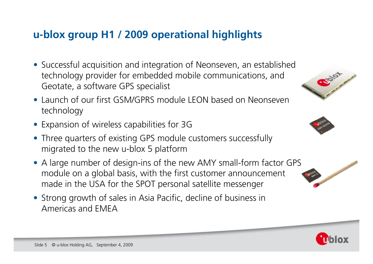## **u-blox group H1 / 2009 operational highlights**

- Successful acquisition and integration of Neonseven, an established technology provider for embedded mobile communications, and Geotate, a software GPS specialist
- Launch of our first GSM/GPRS module LEON based on Neonseven technology
- Expansion of wireless capabilities for 3G
- Three quarters of existing GPS module customers successfully migrated to the new u-blox 5 platform
- A large number of design-ins of the new AMY small-form factor GPS module on a global basis, with the first customer announcement made in the USA for the SPOT personal satellite messenger
- Strong growth of sales in Asia Pacific, decline of business in Americas and EMEA







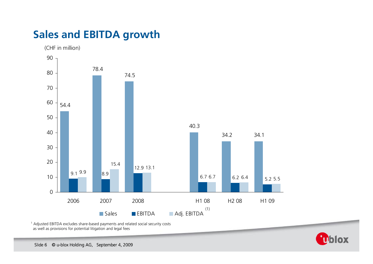## **Sales and EBITDA growth**



<sup>1</sup> Adjusted EBITDA excludes share-based payments and related social security costs as well as provisions for potential litigation and legal fees

Chlox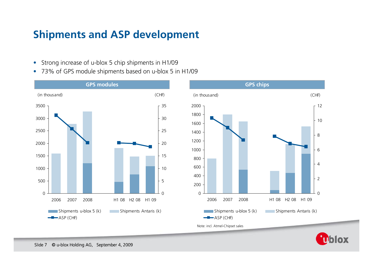### **Shipments and ASP development**

- Strong increase of u-blox 5 chip shipments in H1/09
- 73% of GPS module shipments based on u-blox 5 in H1/09





**Ublox**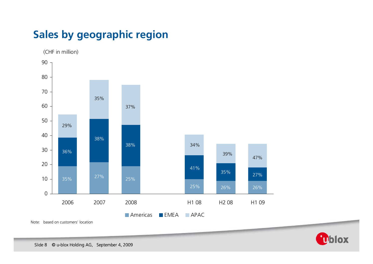# **Sales by geographic region**



Note: based on customers' location

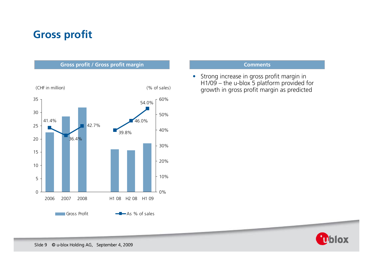## **Gross profit**



 $\bullet$  Strong increase in gross profit margin in H1/09 – the u-blox 5 platform provided for growth in gross profit margin as predicted

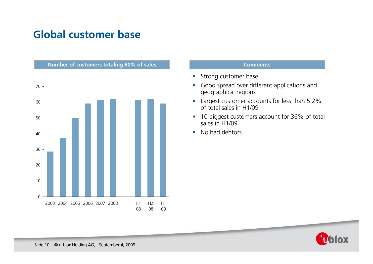## **Global customer base**



- Strong customer base
- Good spread over different applications and geographical regions
- Largest customer accounts for less than 5.2% of total sales in H1/09
- $\bullet$ • 10 biggest customers account for 36% of total sales in H1/09
- $\bullet$ • No bad debtors

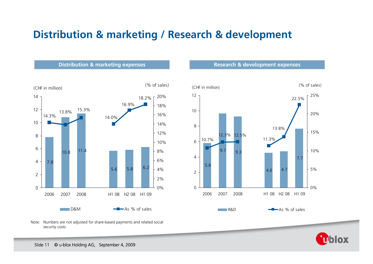### **Distribution & marketing / Research & development**



### Note: Numbers are not adjusted for share-based payments and related social security costs



10

12

**Distribution & marketing expenses Research & development expenses** 

(CHF in million) (% of sales)

**Ublox** 

7.7

0%

5%

10%

15%

20%

25%

22.5%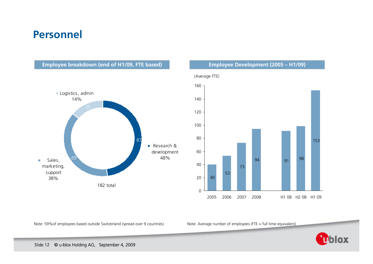### **Personnel**

**Employee breakdown (end of H1/09, FTE based) Employee Development (2005 – H1/09)**





Note: 59%of

Note: Average number of employees (FTE = full time equivalent)

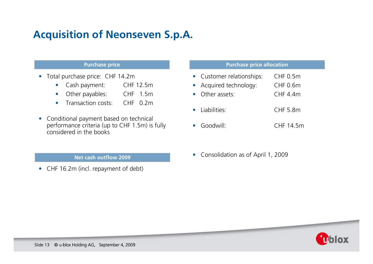# **Acquisition of Neonseven S.p.A.**

- Total purchase price: CHF 14.2m
	- $\bullet$ Cash payment: CHF 12.5m
	- $\bullet$ Other payables: CHF 1.5m
	- $\bullet$ Transaction costs:  $CHF$  0.2m
- Conditional payment based on technical performance criteria (up to CHF 1.5m) is fully considered in the books

### **Net cash outflow 2009**

• CHF 16.2m (incl. repayment of debt)

### **Purchase price Purchase price allocation**

- Customer relationships: CHF 0.5m
- Acquired technology: CHF 0.6m
- Other assets: CHF 4.4m
- Liabilities: CHF 5.8m
- Goodwill: CHF 14.5m
- Consolidation as of April 1, 2009

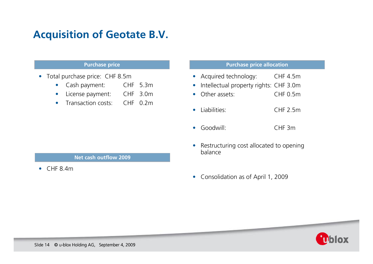### **Acquisition of Geotate B.V.**

- Total purchase price: CHF 8.5m
	- $\bullet$ Cash payment: CHF 5.3m
	- $\bullet$ License payment: CHF 3.0m
	- $\bullet$ Transaction costs:  $CHF$  0.2m

### **Purchase price Purchase price allocation**

- Acquired technology: CHF 4.5m
- $\bullet$ Intellectual property rights: CHF 3.0m
- $\bullet$ Other assets: CHF 0.5m
- Liabilities: CHF 2.5m
- Goodwill: CHF 3m
- Restructuring cost allocated to opening balance
- **Net cash outflow 2009**
- $CHF 8.4m$

• Consolidation as of April 1, 2009



Slide 14 © u-blox Holding AG, September 4, 2009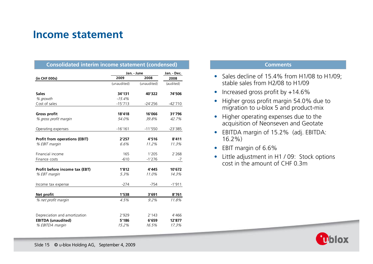### **Income statement**

| <b>Consolidated interim income statement (condensed)</b> |                     |             |                     |
|----------------------------------------------------------|---------------------|-------------|---------------------|
| (in CHF 000s)                                            | Jan. - June<br>2009 | 2008        | Jan. - Dec.<br>2008 |
|                                                          | (unaudited)         | (unaudited) | (audited)           |
| <b>Sales</b>                                             | 34'131              | 40'322      | 74'506              |
| % growth                                                 | $-15.4%$            |             |                     |
| Cost of sales                                            | $-15'713$           | $-24'256$   | $-42'710$           |
| Gross profit                                             | 18'418              | 16'066      | 31'796              |
| % gross profit margin                                    | 54.0%               | 39.8%       | 42.7%               |
| Operating expenses                                       | $-16'161$           | $-11'550$   | $-23'385$           |
| <b>Profit from operations (EBIT)</b>                     | 2'257               | 4'516       | 8'411               |
| % EBIT margin                                            | 6.6%                | 11.2%       | 11.3%               |
|                                                          |                     |             |                     |
| Financial income                                         | 165                 | 1'205       | 2'268               |
| Finance costs                                            | $-610$              | $-1'276$    | $-7$                |
| Profit before income tax (EBT)                           | 1'812               | 4'445       | 10'672              |
| % EBT margin                                             | 5.3%                | 11.0%       | 14.3%               |
|                                                          |                     |             |                     |
| Income tax expense                                       | $-274$              | $-754$      | $-1'911$            |
| Net profit                                               | 1'538               | 3'691       | 8'761               |
| % net profit margin                                      | 4.5%                | $9.2\%$     | 11.8%               |
|                                                          |                     |             |                     |
| Depreciation and amortization                            | 2'929               | 2'143       | 4'466               |
| <b>EBITDA</b> (unaudited)                                | 5'186               | 6'659       | 12'877              |
| % EBITDA margin                                          | 15.2%               | 16.5%       | 17.3%               |

- Sales decline of 15.4% from H1/08 to H1/09; stable sales from H2/08 to H1/09
- Increased gross profit by +14.6%
- Higher gross profit margin 54.0% due to migration to u-blox 5 and product-mix
- Higher operating expenses due to the acquisition of Neonseven and Geotate
- EBITDA margin of 15.2% (adj. EBITDA: 16.2%)
- EBIT margin of 6.6%
- Little adjustment in H1 / 09: Stock options cost in the amount of CHF 0.3m

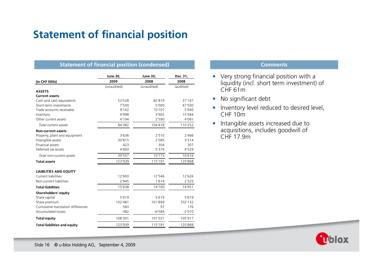# **Statement of financial position**

### **Statement of financial position (condensed) Comments Comments**

|                                     | <b>June 30,</b> | June 30,    | Dec. 31,  |  |
|-------------------------------------|-----------------|-------------|-----------|--|
| (in CHF 000s)                       | 2009            | 2008        | 2008      |  |
|                                     | (unaudited)     | (unaudited) | (audited) |  |
| <b>ASSETS</b>                       |                 |             |           |  |
| <b>Current assets</b>               |                 |             |           |  |
| Cash and cash equivalents           | 53'528          | 82'819      | 37'147    |  |
| Short-term investments              | 7'500           | 5'000       | 47'500    |  |
| Trade accounts receivable           | 9'162           | 10'107      | 5'940     |  |
| Inventory                           | 9'998           | 3'902       | 15'584    |  |
| Other current assets                | 4'194           | 2'590       | 4'081     |  |
| Total current assets                | 84'382          | 104'418     | 110'252   |  |
| <b>Non-current assets</b>           |                 |             |           |  |
| Property, plant and equipment       | 3'636           | 2'510       | 2'466     |  |
| Intangible assets                   | 30'815          | 2'585       | 3'314     |  |
| <b>Financial assets</b>             | 423             | 304         | 307       |  |
| Deferred tax assets                 | 4'683           | 5'374       | 4'529     |  |
| Total non-current assets            | 39'557          | 10'773      | 10'616    |  |
| <b>Total assets</b>                 | 123'939         | 115'191     | 120'868   |  |
| <b>LIABILITIES AND EQUITY</b>       |                 |             |           |  |
| <b>Current liabilities</b>          | 12'693          | 12'546      | 12'626    |  |
| Non-current liabilities             | 2'945           | 1'614       | 2'325     |  |
| <b>Total liabilities</b>            | 15'638          | 14'160      | 14'951    |  |
| Shareholders' equity                |                 |             |           |  |
| Share capital                       | 5'619           | 5'619       | 5'619     |  |
| Share premium                       | 102'481         | 101'899     | 102'132   |  |
| Cumulative translation differences  | 583             | 97          | 176       |  |
| <b>Accumulated losses</b>           | $-382$          | $-6'584$    | $-2'010$  |  |
| <b>Total equity</b>                 | 108'301         | 101'031     | 105'917   |  |
| <b>Total liabilities and equity</b> | 123'939         | 115'191     | 120'868   |  |

- Very strong financial position with <sup>a</sup> liquidity (incl. short term investment) of CHF 61m
- No significant debt
- Inventory level reduced to desired level, CHF 10m
- Intangible assets increased due to acquisitions, includes goodwill of CHF 17.9m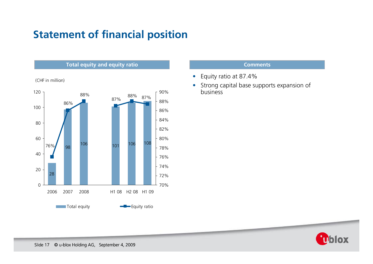# **Statement of financial position**

### **Total equity and equity ratio Comments**

(CHF in million)



- Equity ratio at 87.4%
- $\bullet$  Strong capital base supports expansion of business

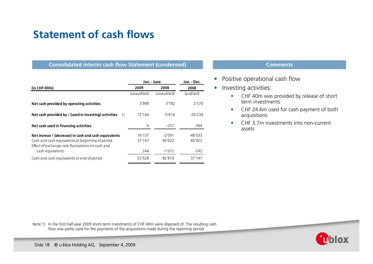### **Statement of cash flows**

### **Consolidated interim cash flow Statement (condensed) Consolidated interim cash flow Statement (condensed) Comments**

|                                                                      | Jan. - June |             | Jan. - Dec. |  |
|----------------------------------------------------------------------|-------------|-------------|-------------|--|
| (in CHF 000s)                                                        | 2009        | 2008        | 2008        |  |
|                                                                      | (unaudited) | (unaudited) | (audited)   |  |
| Net cash provided by operating activities                            | 3'998       | 3'782       | 2'570       |  |
| Net cash provided by / (used in investing) activities<br>1)          | 12'144      | $-5'616$    | $-50'239$   |  |
| Net cash used in financing activities                                | $-5$        | $-257$      | -364        |  |
| Net increae / (decrease) in cash and cash equivalents                | 16'137      | $-2'091$    | $-48'033$   |  |
| Cash and cash equivalents at beginning of period                     | 37'147      | 85'922      | 85'922      |  |
| Effect of exchange rate fluctuations on cash and<br>cash equivalents | 244         | $-1'012$    | -742        |  |
| Cash and cash equivalents at end of period                           | 53'528      | 82'819      | 37'147      |  |

- $\bullet$ Positive operational cash flow
- Investing activities:
	- • CHF 40m was provided by release of short term investments
	- •• CHF 24.6m used for cash payment of both acquisitions
	- • CHF 3.7m investments into non-current assets

Note 1) In the first half-year 2009 short-term investments of CHF 40m were disposed of. The resulting cash flow was partly used for the payments of the acquisitions made during the reporting period.

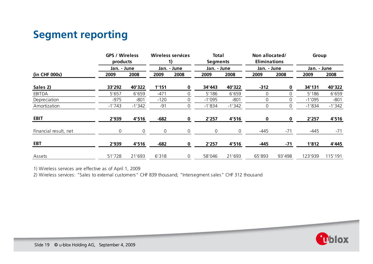## **Segment reporting**

|                       | <b>GPS / Wireless</b><br>products |             |        | <b>Wireless services</b><br>1) | <b>Total</b><br><b>Segments</b> |                | Non allocated/<br><b>Eliminations</b> |             | Group    |             |  |
|-----------------------|-----------------------------------|-------------|--------|--------------------------------|---------------------------------|----------------|---------------------------------------|-------------|----------|-------------|--|
| (in CHF 000s)         |                                   | Jan. - June |        | Jan. - June                    |                                 | Jan. - June    |                                       | Jan. - June |          | Jan. - June |  |
|                       | 2009                              | 2008        | 2009   | 2008                           | 2009                            | 2008           | 2009                                  | 2008        | 2009     | 2008        |  |
| Sales 2)              | 33'292                            | 40'322      | 1'151  | 0                              | 34'443                          | 40'322         | $-312$                                | 0           | 34'131   | 40'322      |  |
| EBITDA                | 5'657                             | 6'659       | $-471$ |                                | 5'186                           | 6'659          | 0                                     | 0           | 5'186    | 6'659       |  |
| Depreciation          | $-975$                            | $-801$      | $-120$ |                                | $-1'095$                        | $-801$         | 0                                     | 0           | $-1'095$ | $-801$      |  |
| Amortization          | $-1'743$                          | $-1'342$    | $-91$  | 0                              | $-1'834$                        | $-1'342$       | 0                                     | 0           | $-1'834$ | $-1'342$    |  |
| <b>EBIT</b>           | 2'939                             | 4'516       | $-682$ | 0                              | 2'257                           | 4'516          | 0                                     | 0           | 2'257    | 4'516       |  |
| Financial result, net | 0                                 | 0           | 0      | 0                              | $\mathsf{O}\xspace$             | $\overline{0}$ | $-445$                                | $-71$       | $-445$   | $-71$       |  |
| <b>EBT</b>            | 2'939                             | 4'516       | $-682$ | 0                              | 2'257                           | 4'516          | $-445$                                | $-71$       | 1'812    | 4'445       |  |
| Assets                | 51'728                            | 21'693      | 6'318  | 0                              | 58'046                          | 21'693         | 65'893                                | 93'498      | 123'939  | 115'191     |  |

1) Wireless services are effective as of April 1, 2009

2) Wireless services: "Sales to external customers" CHF 839 thousand; "Intersegment sales" CHF 312 thousand

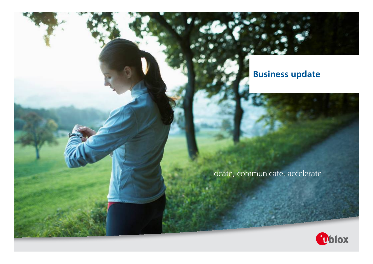### **Business update**



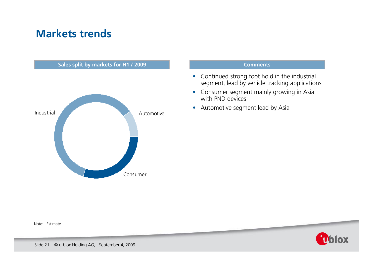### **Markets trends**



### **Comments**

- Continued strong foot hold in the industrial segment, lead by vehicle tracking applications
- Consumer segment mainly growing in Asia with PND devices
- Automotive segment lead by Asia

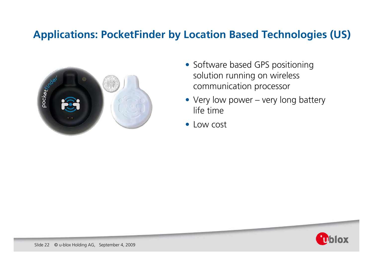### **Applications: PocketFinder by Location Based Technologies (US)**



- Software based GPS positioning solution running on wireless communication processor
- Very low power very long battery life time
- Low cost

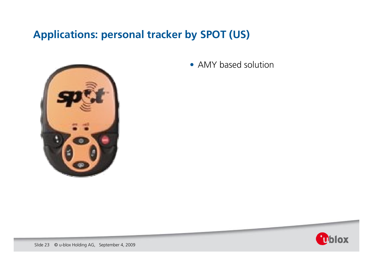## **Applications: personal tracker by SPOT (US)**



• AMY based solution

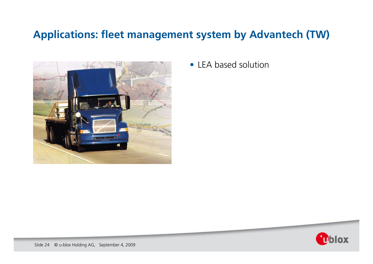## **Applications: fleet management system by Advantech (TW)**



• LEA based solution

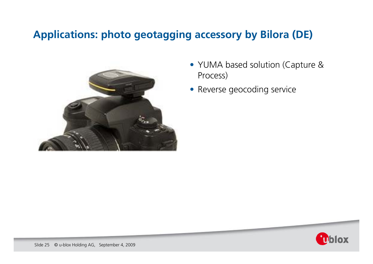### **Applications: photo geotagging accessory by Bilora (DE)**



- YUMA based solution (Capture & Process)
- Reverse geocoding service

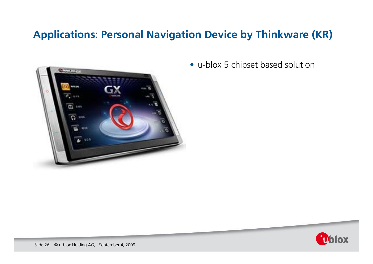## **Applications: Personal Navigation Device by Thinkware (KR)**



• u-blox 5 chipset based solution

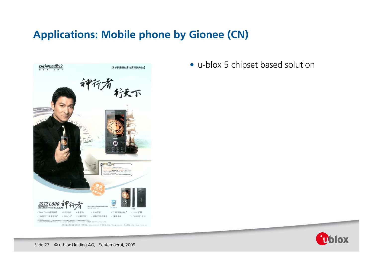## **Applications: Mobile phone by Gionee (CN)**



• u-blox 5 chipset based solution



Slide 27 © u-blox Holding AG, September 4, 2009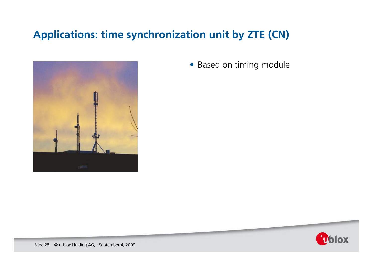## **Applications: time synchronization unit by ZTE (CN)**



• Based on timing module

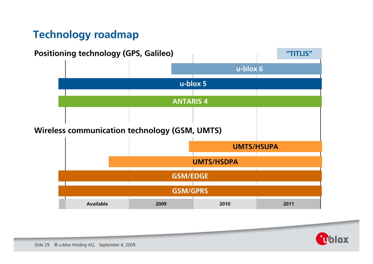## **Technology roadmap**



**Ublox**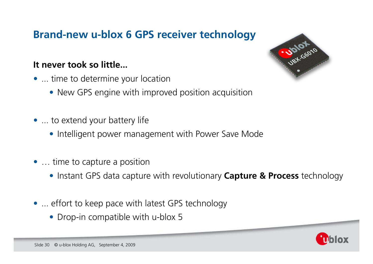## **Brand-new u-blox 6 GPS receiver technology**

### **It never took so little...**

- ... time to determine your location
	- New GPS engine with improved position acquisition
- ... to extend your battery life
	- Intelligent power management with Power Save Mode
- ... time to capture a position
	- Instant GPS data capture with revolutionary **Capture & Process** technology
- ... effort to keep pace with latest GPS technology
	- Drop-in compatible with u-blox 5



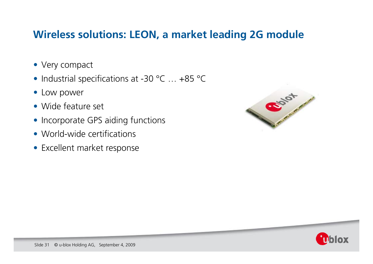### **Wireless solutions: LEON, a market leading 2G module**

- Very compact
- Industrial specifications at -30 °C ... +85 °C
- Low power
- Wide feature set
- Incorporate GPS aiding functions
- World-wide certifications
- Excellent market response



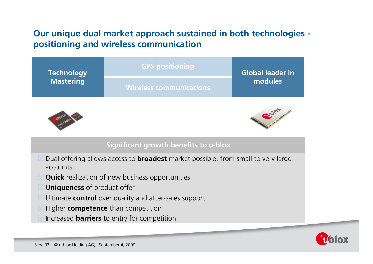### **Our unique dual market approach sustained in both technologies positioning and wireless communication**

| <b>Technology</b><br><b>Mastering</b> | <b>GPS positioning</b>  | <b>Global leader in</b> |
|---------------------------------------|-------------------------|-------------------------|
|                                       | Wireless communications | modules                 |
|                                       |                         |                         |





### **Significant growth benefits to u-blox**

- Dual offering allows access to **broadest** market possible, from small to very large accounts
- **Quick** realization of new business opportunities
- **Uniqueness** of product offer
- **I** Ultimate **control** over quality and after-sales support
- Higher **competence** than competition
- **Increased barriers** to entry for competition

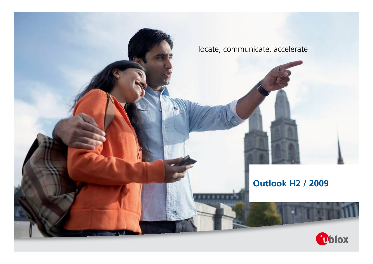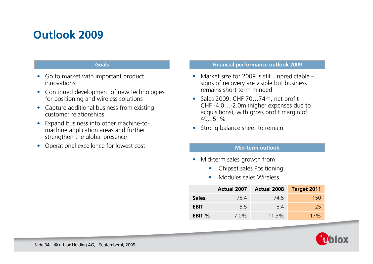# **Outlook 2009**

### **Goals**

- $\bullet$  Go to market with important product innovations
- Continued development of new technologies for positioning and wireless solutions
- Capture additional business from existing customer relationships
- $\bullet$  Expand business into other machine-tomachine application areas and further strengthen the global presence
- $\bullet$ Operational excellence for lowest cost

### **Financial performance outlook 2009**

- •• Market size for 2009 is still unpredictable – signs of recovery are visible but business remains short term minded
- Sales 2009: CHF 70...74m, net profit CHF -4.0…-2.0m (higher expenses due to acquisitions), with gross profit margin of 49...51%
- $\bullet$ Strong balance sheet to remain

### **Mid-term outlook**

- $\bullet$ • Mid-term sales growth from
	- $\bullet$ Chipset sales Positioning
	- •Modules sales Wireless

|              | <b>Actual 2007</b> | <b>Actual 2008</b> | <b>Target 2011</b> |
|--------------|--------------------|--------------------|--------------------|
| <b>Sales</b> | 78.4               | 74.5               | 150                |
| <b>EBIT</b>  | 5.5                | 8.4                | 25.                |
| EBIT %       | $7.0\%$            | 11.3%              | $17\%$             |

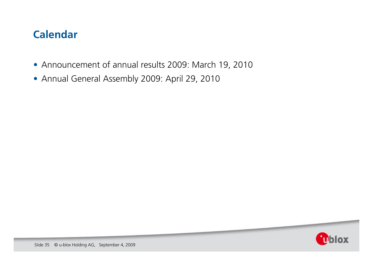### **Calendar**

- Announcement of annual results 2009: March 19, 2010
- Annual General Assembly 2009: April 29, 2010